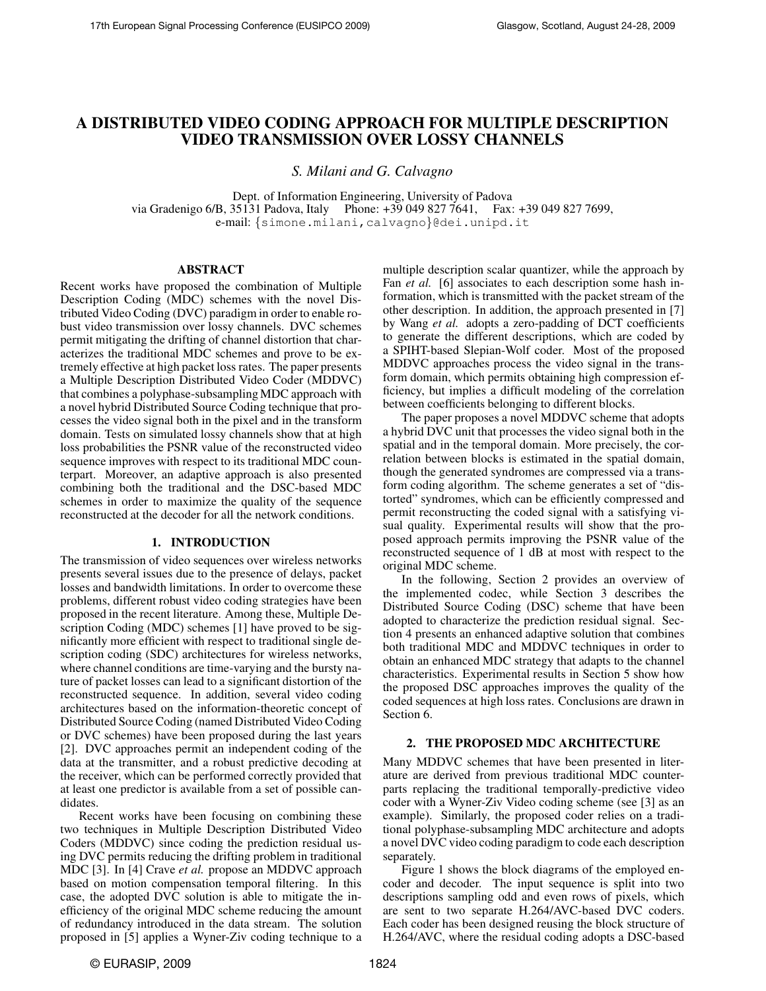# **A DISTRIBUTED VIDEO CODING APPROACH FOR MULTIPLE DESCRIPTION VIDEO TRANSMISSION OVER LOSSY CHANNELS**

*S. Milani and G. Calvagno*

Dept. of Information Engineering, University of Padova via Gradenigo 6/B, 35131 Padova, Italy Phone: +39 049 827 7641, Fax: +39 049 827 7699, e-mail: {simone.milani,calvagno}@dei.unipd.it

#### **ABSTRACT**

Recent works have proposed the combination of Multiple Description Coding (MDC) schemes with the novel Distributed Video Coding (DVC) paradigm in order to enable robust video transmission over lossy channels. DVC schemes permit mitigating the drifting of channel distortion that characterizes the traditional MDC schemes and prove to be extremely effective at high packet loss rates. The paper presents a Multiple Description Distributed Video Coder (MDDVC) that combines a polyphase-subsampling MDC approach with a novel hybrid Distributed Source Coding technique that processes the video signal both in the pixel and in the transform domain. Tests on simulated lossy channels show that at high loss probabilities the PSNR value of the reconstructed video sequence improves with respect to its traditional MDC counterpart. Moreover, an adaptive approach is also presented combining both the traditional and the DSC-based MDC schemes in order to maximize the quality of the sequence reconstructed at the decoder for all the network conditions.

### **1. INTRODUCTION**

The transmission of video sequences over wireless networks presents several issues due to the presence of delays, packet losses and bandwidth limitations. In order to overcome these problems, different robust video coding strategies have been proposed in the recent literature. Among these, Multiple Description Coding (MDC) schemes [1] have proved to be significantly more efficient with respect to traditional single description coding (SDC) architectures for wireless networks, where channel conditions are time-varying and the bursty nature of packet losses can lead to a significant distortion of the reconstructed sequence. In addition, several video coding architectures based on the information-theoretic concept of Distributed Source Coding (named Distributed Video Coding or DVC schemes) have been proposed during the last years [2]. DVC approaches permit an independent coding of the data at the transmitter, and a robust predictive decoding at the receiver, which can be performed correctly provided that at least one predictor is available from a set of possible candidates.

Recent works have been focusing on combining these two techniques in Multiple Description Distributed Video Coders (MDDVC) since coding the prediction residual using DVC permits reducing the drifting problem in traditional MDC [3]. In [4] Crave *et al.* propose an MDDVC approach based on motion compensation temporal filtering. In this case, the adopted DVC solution is able to mitigate the inefficiency of the original MDC scheme reducing the amount of redundancy introduced in the data stream. The solution proposed in [5] applies a Wyner-Ziv coding technique to a

multiple description scalar quantizer, while the approach by Fan *et al.* [6] associates to each description some hash information, which is transmitted with the packet stream of the other description. In addition, the approach presented in [7] by Wang *et al.* adopts a zero-padding of DCT coefficients to generate the different descriptions, which are coded by a SPIHT-based Slepian-Wolf coder. Most of the proposed MDDVC approaches process the video signal in the transform domain, which permits obtaining high compression efficiency, but implies a difficult modeling of the correlation between coefficients belonging to different blocks.

The paper proposes a novel MDDVC scheme that adopts a hybrid DVC unit that processes the video signal both in the spatial and in the temporal domain. More precisely, the correlation between blocks is estimated in the spatial domain, though the generated syndromes are compressed via a transform coding algorithm. The scheme generates a set of "distorted" syndromes, which can be efficiently compressed and permit reconstructing the coded signal with a satisfying visual quality. Experimental results will show that the proposed approach permits improving the PSNR value of the reconstructed sequence of 1 dB at most with respect to the original MDC scheme.

In the following, Section 2 provides an overview of the implemented codec, while Section 3 describes the Distributed Source Coding (DSC) scheme that have been adopted to characterize the prediction residual signal. Section 4 presents an enhanced adaptive solution that combines both traditional MDC and MDDVC techniques in order to obtain an enhanced MDC strategy that adapts to the channel characteristics. Experimental results in Section 5 show how the proposed DSC approaches improves the quality of the coded sequences at high loss rates. Conclusions are drawn in Section 6.

### **2. THE PROPOSED MDC ARCHITECTURE**

Many MDDVC schemes that have been presented in literature are derived from previous traditional MDC counterparts replacing the traditional temporally-predictive video coder with a Wyner-Ziv Video coding scheme (see [3] as an example). Similarly, the proposed coder relies on a traditional polyphase-subsampling MDC architecture and adopts a novel DVC video coding paradigm to code each description separately.

Figure 1 shows the block diagrams of the employed encoder and decoder. The input sequence is split into two descriptions sampling odd and even rows of pixels, which are sent to two separate H.264/AVC-based DVC coders. Each coder has been designed reusing the block structure of H.264/AVC, where the residual coding adopts a DSC-based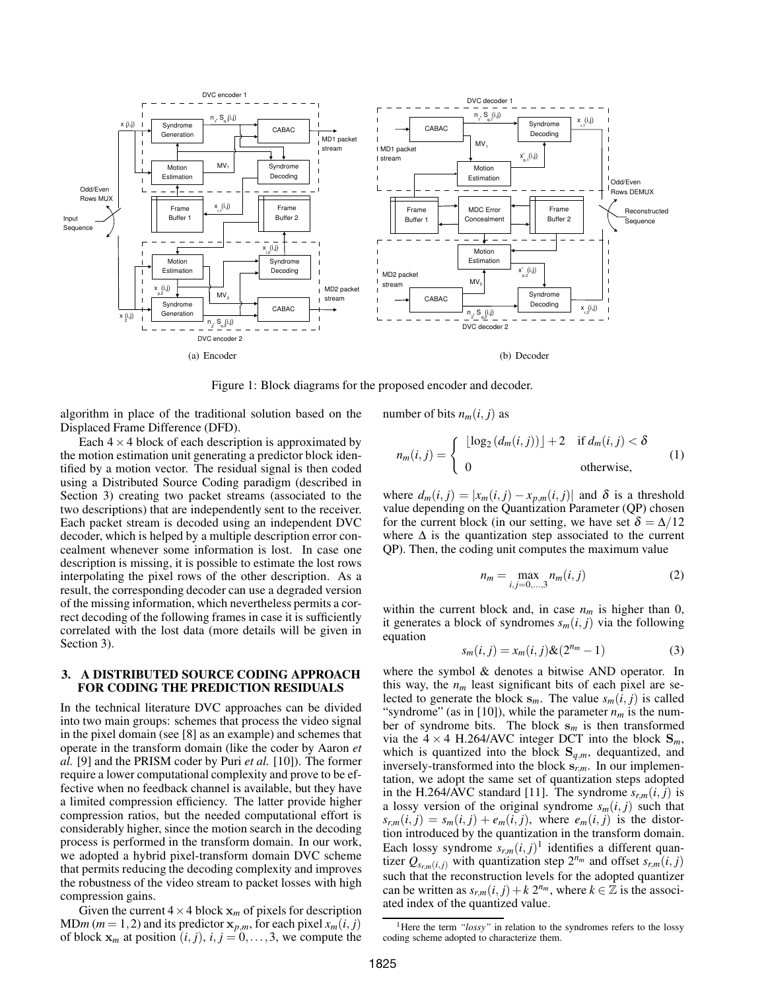

Figure 1: Block diagrams for the proposed encoder and decoder.

algorithm in place of the traditional solution based on the Displaced Frame Difference (DFD).

Each  $4 \times 4$  block of each description is approximated by the motion estimation unit generating a predictor block identified by a motion vector. The residual signal is then coded using a Distributed Source Coding paradigm (described in Section 3) creating two packet streams (associated to the two descriptions) that are independently sent to the receiver. Each packet stream is decoded using an independent DVC decoder, which is helped by a multiple description error concealment whenever some information is lost. In case one description is missing, it is possible to estimate the lost rows interpolating the pixel rows of the other description. As a result, the corresponding decoder can use a degraded version of the missing information, which nevertheless permits a correct decoding of the following frames in case it is sufficiently correlated with the lost data (more details will be given in Section 3).

# **3. A DISTRIBUTED SOURCE CODING APPROACH FOR CODING THE PREDICTION RESIDUALS**

In the technical literature DVC approaches can be divided into two main groups: schemes that process the video signal in the pixel domain (see [8] as an example) and schemes that operate in the transform domain (like the coder by Aaron *et al.* [9] and the PRISM coder by Puri *et al.* [10]). The former require a lower computational complexity and prove to be effective when no feedback channel is available, but they have a limited compression efficiency. The latter provide higher compression ratios, but the needed computational effort is considerably higher, since the motion search in the decoding process is performed in the transform domain. In our work, we adopted a hybrid pixel-transform domain DVC scheme that permits reducing the decoding complexity and improves the robustness of the video stream to packet losses with high compression gains.

Given the current  $4 \times 4$  block  $x_m$  of pixels for description  $MDm (m = 1, 2)$  and its predictor  $x_{p,m}$ , for each pixel  $x_m(i, j)$ of block  $x_m$  at position  $(i, j)$ ,  $i, j = 0, \ldots, 3$ , we compute the number of bits  $n_m(i, j)$  as

$$
n_m(i,j) = \begin{cases} \lfloor \log_2 (d_m(i,j)) \rfloor + 2 & \text{if } d_m(i,j) < \delta \\ 0 & \text{otherwise,} \end{cases} \tag{1}
$$

where  $d_m(i, j) = |x_m(i, j) - x_{p,m}(i, j)|$  and  $\delta$  is a threshold value depending on the Quantization Parameter (QP) chosen for the current block (in our setting, we have set  $\delta = \Delta/12$ where  $\Delta$  is the quantization step associated to the current QP). Then, the coding unit computes the maximum value

$$
n_m = \max_{i,j=0,\dots,3} n_m(i,j)
$$
 (2)

within the current block and, in case  $n_m$  is higher than 0, it generates a block of syndromes  $s_m(i, j)$  via the following equation

$$
s_m(i,j) = x_m(i,j) \& (2^{n_m} - 1)
$$
 (3)

where the symbol & denotes a bitwise AND operator. In this way, the  $n_m$  least significant bits of each pixel are selected to generate the block  $s_m$ . The value  $s_m(i, j)$  is called "syndrome" (as in [10]), while the parameter  $n_m$  is the number of syndrome bits. The block s*<sup>m</sup>* is then transformed via the  $4 \times 4$  H.264/AVC integer DCT into the block  $S_m$ , which is quantized into the block  $S_{q,m}$ , dequantized, and inversely-transformed into the block s*r*,*m*. In our implementation, we adopt the same set of quantization steps adopted in the H.264/AVC standard [11]. The syndrome  $s_{r,m}(i, j)$  is a lossy version of the original syndrome  $s_m(i, j)$  such that  $s_{r,m}(i,j) = s_m(i,j) + e_m(i,j)$ , where  $e_m(i,j)$  is the distortion introduced by the quantization in the transform domain. Each lossy syndrome  $s_{r,m}(i, j)$ <sup>1</sup> identifies a different quantizer  $Q_{s_{rm}(i,j)}$  with quantization step  $2^{n_m}$  and offset  $s_{r,m}(i,j)$ such that the reconstruction levels for the adopted quantizer can be written as  $s_{r,m}(i, j) + k 2^{n_m}$ , where  $k \in \mathbb{Z}$  is the associated index of the quantized value.

<sup>&</sup>lt;sup>1</sup>Here the term *"lossy"* in relation to the syndromes refers to the lossy coding scheme adopted to characterize them.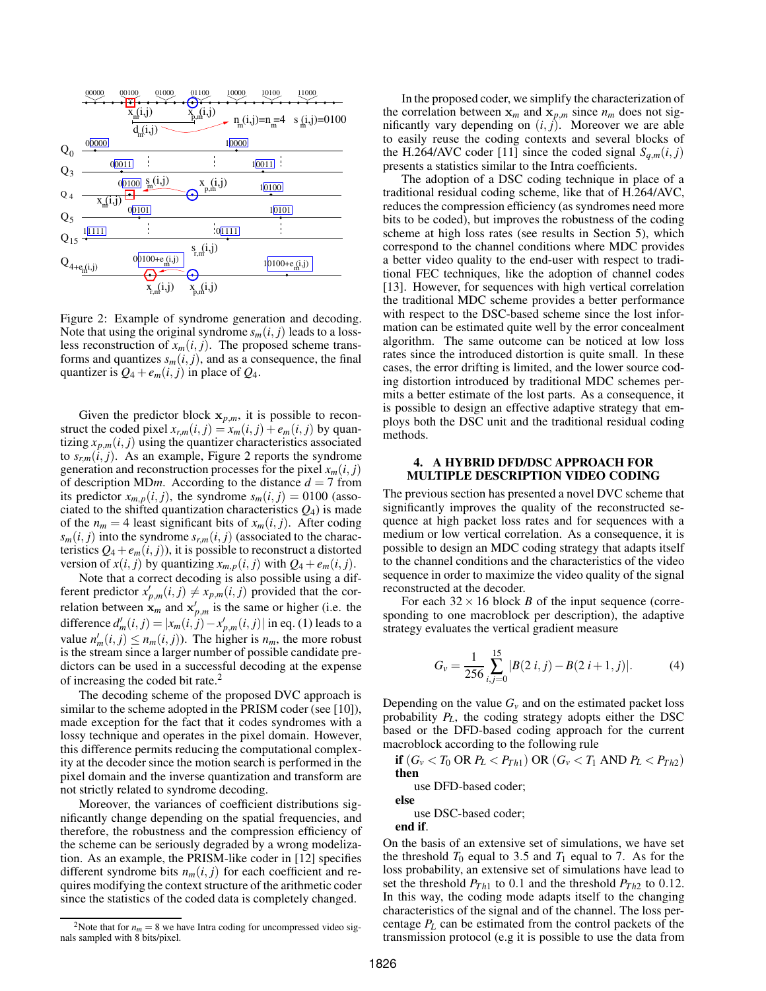

Figure 2: Example of syndrome generation and decoding. Note that using the original syndrome  $s_m(i, j)$  leads to a lossless reconstruction of  $x_m(i, j)$ . The proposed scheme transforms and quantizes  $s_m(i, j)$ , and as a consequence, the final quantizer is  $Q_4 + e_m(i, j)$  in place of  $Q_4$ .

Given the predictor block  $x_{p,m}$ , it is possible to reconstruct the coded pixel  $x_{r,m}(i, j) = x_m(i, j) + e_m(i, j)$  by quantizing  $x_{p,m}(i, j)$  using the quantizer characteristics associated to  $s_{r,m}(i, j)$ . As an example, Figure 2 reports the syndrome generation and reconstruction processes for the pixel  $x_m(i, j)$ of description MD*m*. According to the distance  $d = 7$  from its predictor  $x_{m,p}(i, j)$ , the syndrome  $s_m(i, j) = 0100$  (associated to the shifted quantization characteristics  $Q_4$ ) is made of the  $n_m = 4$  least significant bits of  $x_m(i, j)$ . After coding  $s_m(i, j)$  into the syndrome  $s_{r,m}(i, j)$  (associated to the characteristics  $Q_4 + e_m(i, j)$ , it is possible to reconstruct a distorted version of  $x(i, j)$  by quantizing  $x_{m,p}(i, j)$  with  $Q_4 + e_m(i, j)$ .

Note that a correct decoding is also possible using a different predictor  $x'_{p,m}(i,j) \neq x_{p,m}(i,j)$  provided that the correlation between  $\mathbf{x}_m$  and  $\mathbf{x}'_{p,m}$  is the same or higher (i.e. the difference  $d'_{m}(i, j) = |x_{m}(i, j) - x'_{p,m}(i, j)|$  in eq. (1) leads to a value  $n'_m(i, j) \leq n_m(i, j)$ . The higher is  $n_m$ , the more robust is the stream since a larger number of possible candidate predictors can be used in a successful decoding at the expense of increasing the coded bit rate.<sup>2</sup>

The decoding scheme of the proposed DVC approach is similar to the scheme adopted in the PRISM coder (see [10]), made exception for the fact that it codes syndromes with a lossy technique and operates in the pixel domain. However, this difference permits reducing the computational complexity at the decoder since the motion search is performed in the pixel domain and the inverse quantization and transform are not strictly related to syndrome decoding.

Moreover, the variances of coefficient distributions significantly change depending on the spatial frequencies, and therefore, the robustness and the compression efficiency of the scheme can be seriously degraded by a wrong modelization. As an example, the PRISM-like coder in [12] specifies different syndrome bits  $n_m(i, j)$  for each coefficient and requires modifying the context structure of the arithmetic coder since the statistics of the coded data is completely changed.

In the proposed coder, we simplify the characterization of the correlation between  $\mathbf{x}_m$  and  $\mathbf{x}_{p,m}$  since  $n_m$  does not significantly vary depending on  $(i, j)$ . Moreover we are able to easily reuse the coding contexts and several blocks of the H.264/AVC coder [11] since the coded signal  $S_{q,m}(i, j)$ presents a statistics similar to the Intra coefficients.

The adoption of a DSC coding technique in place of a traditional residual coding scheme, like that of H.264/AVC, reduces the compression efficiency (as syndromes need more bits to be coded), but improves the robustness of the coding scheme at high loss rates (see results in Section 5), which correspond to the channel conditions where MDC provides a better video quality to the end-user with respect to traditional FEC techniques, like the adoption of channel codes [13]. However, for sequences with high vertical correlation the traditional MDC scheme provides a better performance with respect to the DSC-based scheme since the lost information can be estimated quite well by the error concealment algorithm. The same outcome can be noticed at low loss rates since the introduced distortion is quite small. In these cases, the error drifting is limited, and the lower source coding distortion introduced by traditional MDC schemes permits a better estimate of the lost parts. As a consequence, it is possible to design an effective adaptive strategy that employs both the DSC unit and the traditional residual coding methods.

# **4. A HYBRID DFD/DSC APPROACH FOR MULTIPLE DESCRIPTION VIDEO CODING**

The previous section has presented a novel DVC scheme that significantly improves the quality of the reconstructed sequence at high packet loss rates and for sequences with a medium or low vertical correlation. As a consequence, it is possible to design an MDC coding strategy that adapts itself to the channel conditions and the characteristics of the video sequence in order to maximize the video quality of the signal reconstructed at the decoder.

For each  $32 \times 16$  block *B* of the input sequence (corresponding to one macroblock per description), the adaptive strategy evaluates the vertical gradient measure

$$
G_v = \frac{1}{256} \sum_{i,j=0}^{15} |B(2 i, j) - B(2 i + 1, j)|.
$$
 (4)

Depending on the value  $G<sub>v</sub>$  and on the estimated packet loss probability *PL*, the coding strategy adopts either the DSC based or the DFD-based coding approach for the current macroblock according to the following rule

**if**  $(G_v < T_0 \text{ OR } P_L < P_{Th1}) \text{ OR } (G_v < T_1 \text{ AND } P_L < P_{Th2})$ **then**

use DFD-based coder;

use DSC-based coder;

**end if**.

**else**

On the basis of an extensive set of simulations, we have set the threshold  $T_0$  equal to 3.5 and  $T_1$  equal to 7. As for the loss probability, an extensive set of simulations have lead to set the threshold  $P_{Th1}$  to 0.1 and the threshold  $P_{Th2}$  to 0.12. In this way, the coding mode adapts itself to the changing characteristics of the signal and of the channel. The loss percentage *P<sup>L</sup>* can be estimated from the control packets of the transmission protocol (e.g it is possible to use the data from

<sup>&</sup>lt;sup>2</sup>Note that for  $n_m = 8$  we have Intra coding for uncompressed video signals sampled with 8 bits/pixel.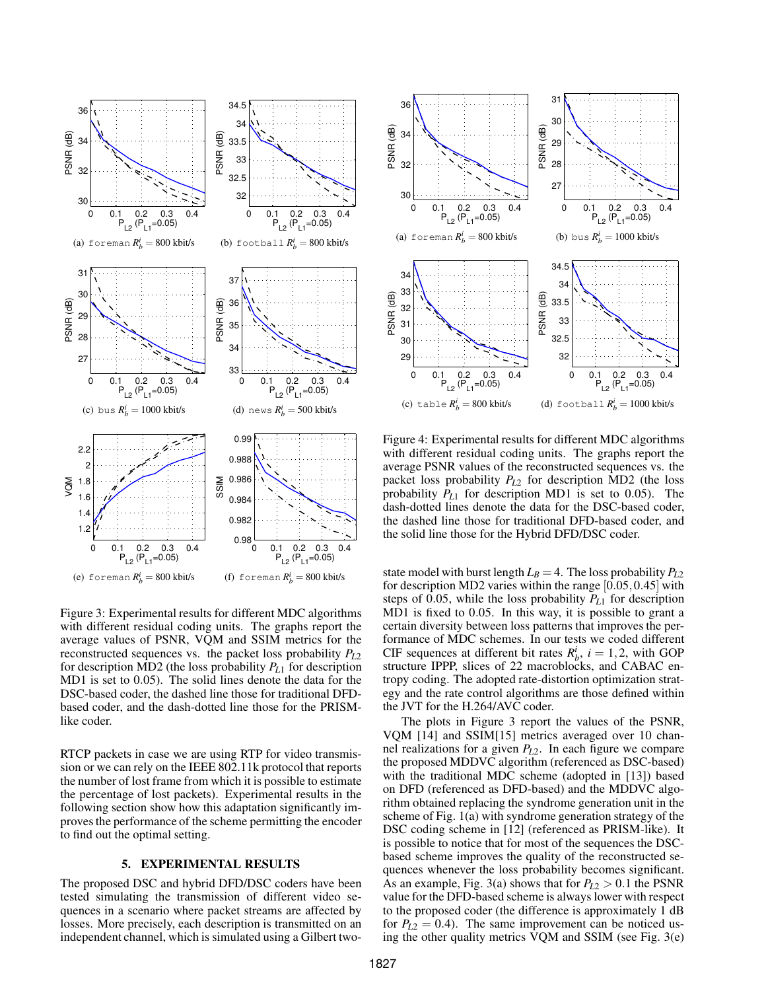

Figure 3: Experimental results for different MDC algorithms with different residual coding units. The graphs report the average values of PSNR, VQM and SSIM metrics for the reconstructed sequences vs. the packet loss probability *PL*<sup>2</sup> for description MD2 (the loss probability *PL*<sup>1</sup> for description MD1 is set to 0.05). The solid lines denote the data for the DSC-based coder, the dashed line those for traditional DFDbased coder, and the dash-dotted line those for the PRISMlike coder.

RTCP packets in case we are using RTP for video transmission or we can rely on the IEEE 802.11k protocol that reports the number of lost frame from which it is possible to estimate the percentage of lost packets). Experimental results in the following section show how this adaptation significantly improves the performance of the scheme permitting the encoder to find out the optimal setting.

## **5. EXPERIMENTAL RESULTS**

The proposed DSC and hybrid DFD/DSC coders have been tested simulating the transmission of different video sequences in a scenario where packet streams are affected by losses. More precisely, each description is transmitted on an independent channel, which is simulated using a Gilbert two-



Figure 4: Experimental results for different MDC algorithms with different residual coding units. The graphs report the average PSNR values of the reconstructed sequences vs. the packet loss probability *PL*<sup>2</sup> for description MD2 (the loss probability *PL*<sup>1</sup> for description MD1 is set to 0.05). The dash-dotted lines denote the data for the DSC-based coder, the dashed line those for traditional DFD-based coder, and the solid line those for the Hybrid DFD/DSC coder.

state model with burst length  $L_B = 4$ . The loss probability  $P_{L2}$ for description MD2 varies within the range [0.05,0.45] with steps of 0.05, while the loss probability *PL*<sup>1</sup> for description MD1 is fixed to 0.05. In this way, it is possible to grant a certain diversity between loss patterns that improves the performance of MDC schemes. In our tests we coded different CIF sequences at different bit rates  $R_b^i$ ,  $i = 1, 2$ , with GOP structure IPPP, slices of 22 macroblocks, and CABAC entropy coding. The adopted rate-distortion optimization strategy and the rate control algorithms are those defined within the JVT for the H.264/AVC coder.

The plots in Figure 3 report the values of the PSNR, VQM [14] and SSIM[15] metrics averaged over 10 channel realizations for a given *PL*2. In each figure we compare the proposed MDDVC algorithm (referenced as DSC-based) with the traditional MDC scheme (adopted in [13]) based on DFD (referenced as DFD-based) and the MDDVC algorithm obtained replacing the syndrome generation unit in the scheme of Fig. 1(a) with syndrome generation strategy of the DSC coding scheme in [12] (referenced as PRISM-like). It is possible to notice that for most of the sequences the DSCbased scheme improves the quality of the reconstructed sequences whenever the loss probability becomes significant. As an example, Fig. 3(a) shows that for  $P_{L2} > 0.1$  the PSNR value for the DFD-based scheme is always lower with respect to the proposed coder (the difference is approximately 1 dB for  $P_{L2} = 0.4$ ). The same improvement can be noticed using the other quality metrics VQM and SSIM (see Fig. 3(e)